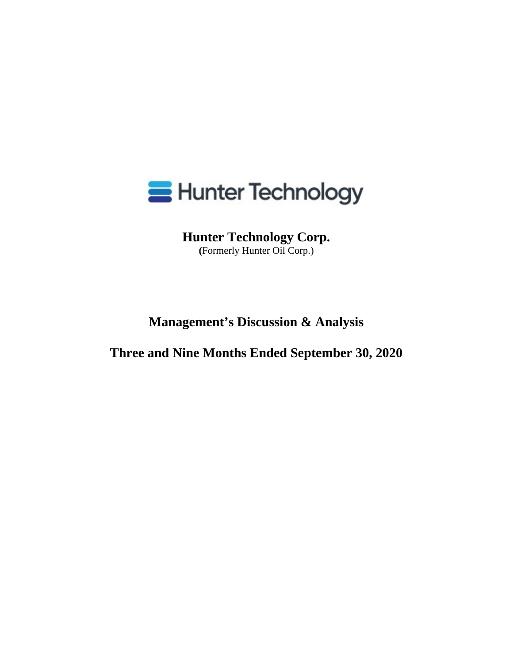

**Hunter Technology Corp. (**Formerly Hunter Oil Corp.)

**Management's Discussion & Analysis** 

**Three and Nine Months Ended September 30, 2020**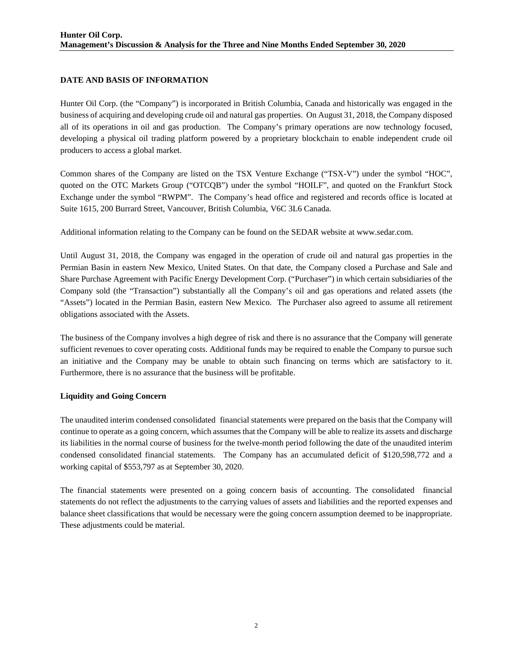### **DATE AND BASIS OF INFORMATION**

Hunter Oil Corp. (the "Company") is incorporated in British Columbia, Canada and historically was engaged in the business of acquiring and developing crude oil and natural gas properties. On August 31, 2018, the Company disposed all of its operations in oil and gas production. The Company's primary operations are now technology focused, developing a physical oil trading platform powered by a proprietary blockchain to enable independent crude oil producers to access a global market.

Common shares of the Company are listed on the TSX Venture Exchange ("TSX-V") under the symbol "HOC", quoted on the OTC Markets Group ("OTCQB") under the symbol "HOILF", and quoted on the Frankfurt Stock Exchange under the symbol "RWPM". The Company's head office and registered and records office is located at Suite 1615, 200 Burrard Street, Vancouver, British Columbia, V6C 3L6 Canada.

Additional information relating to the Company can be found on the SEDAR website at www.sedar.com.

Until August 31, 2018, the Company was engaged in the operation of crude oil and natural gas properties in the Permian Basin in eastern New Mexico, United States. On that date, the Company closed a Purchase and Sale and Share Purchase Agreement with Pacific Energy Development Corp. ("Purchaser") in which certain subsidiaries of the Company sold (the "Transaction") substantially all the Company's oil and gas operations and related assets (the "Assets") located in the Permian Basin, eastern New Mexico. The Purchaser also agreed to assume all retirement obligations associated with the Assets.

The business of the Company involves a high degree of risk and there is no assurance that the Company will generate sufficient revenues to cover operating costs. Additional funds may be required to enable the Company to pursue such an initiative and the Company may be unable to obtain such financing on terms which are satisfactory to it. Furthermore, there is no assurance that the business will be profitable.

### **Liquidity and Going Concern**

The unaudited interim condensed consolidated financial statements were prepared on the basis that the Company will continue to operate as a going concern, which assumes that the Company will be able to realize its assets and discharge its liabilities in the normal course of business for the twelve-month period following the date of the unaudited interim condensed consolidated financial statements. The Company has an accumulated deficit of \$120,598,772 and a working capital of \$553,797 as at September 30, 2020.

The financial statements were presented on a going concern basis of accounting. The consolidated financial statements do not reflect the adjustments to the carrying values of assets and liabilities and the reported expenses and balance sheet classifications that would be necessary were the going concern assumption deemed to be inappropriate. These adjustments could be material.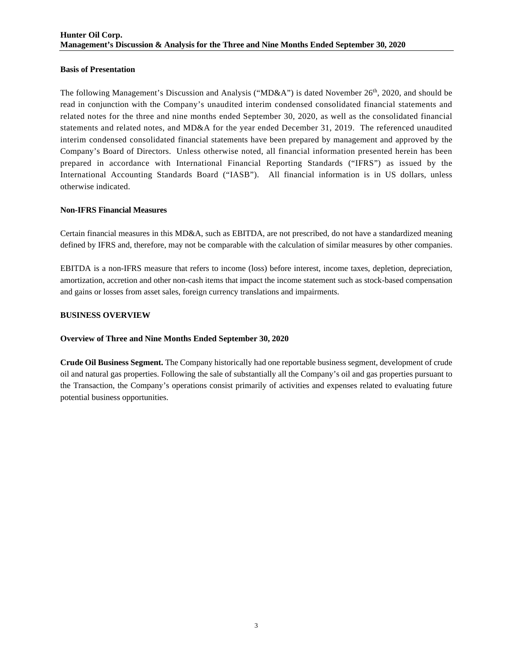### **Basis of Presentation**

The following Management's Discussion and Analysis ("MD&A") is dated November 26<sup>th</sup>, 2020, and should be read in conjunction with the Company's unaudited interim condensed consolidated financial statements and related notes for the three and nine months ended September 30, 2020, as well as the consolidated financial statements and related notes, and MD&A for the year ended December 31, 2019. The referenced unaudited interim condensed consolidated financial statements have been prepared by management and approved by the Company's Board of Directors. Unless otherwise noted, all financial information presented herein has been prepared in accordance with International Financial Reporting Standards ("IFRS") as issued by the International Accounting Standards Board ("IASB"). All financial information is in US dollars, unless otherwise indicated.

### **Non-IFRS Financial Measures**

Certain financial measures in this MD&A, such as EBITDA, are not prescribed, do not have a standardized meaning defined by IFRS and, therefore, may not be comparable with the calculation of similar measures by other companies.

EBITDA is a non-IFRS measure that refers to income (loss) before interest, income taxes, depletion, depreciation, amortization, accretion and other non-cash items that impact the income statement such as stock-based compensation and gains or losses from asset sales, foreign currency translations and impairments.

### **BUSINESS OVERVIEW**

# **Overview of Three and Nine Months Ended September 30, 2020**

**Crude Oil Business Segment.** The Company historically had one reportable business segment, development of crude oil and natural gas properties. Following the sale of substantially all the Company's oil and gas properties pursuant to the Transaction, the Company's operations consist primarily of activities and expenses related to evaluating future potential business opportunities.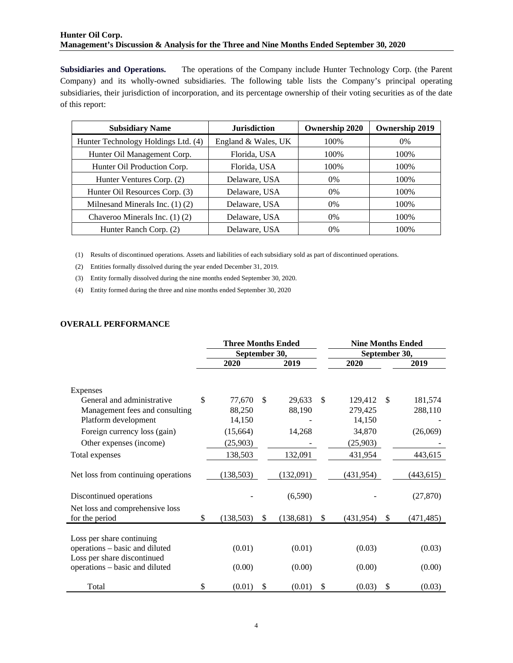### **Hunter Oil Corp. Management's Discussion & Analysis for the Three and Nine Months Ended September 30, 2020**

**Subsidiaries and Operations.** The operations of the Company include Hunter Technology Corp. (the Parent Company) and its wholly-owned subsidiaries. The following table lists the Company's principal operating subsidiaries, their jurisdiction of incorporation, and its percentage ownership of their voting securities as of the date of this report:

| <b>Subsidiary Name</b>              | <b>Jurisdiction</b> | <b>Ownership 2020</b> | <b>Ownership 2019</b> |
|-------------------------------------|---------------------|-----------------------|-----------------------|
| Hunter Technology Holdings Ltd. (4) | England & Wales, UK | 100%                  | 0%                    |
| Hunter Oil Management Corp.         | Florida, USA        | 100%                  | 100%                  |
| Hunter Oil Production Corp.         | Florida, USA        | 100%                  | 100%                  |
| Hunter Ventures Corp. (2)           | Delaware, USA       | $0\%$                 | 100%                  |
| Hunter Oil Resources Corp. (3)      | Delaware, USA       | $0\%$                 | 100%                  |
| Milnesand Minerals Inc. $(1)$ $(2)$ | Delaware, USA       | $0\%$                 | 100%                  |
| Chaveroo Minerals Inc. $(1)$ $(2)$  | Delaware, USA       | $0\%$                 | 100%                  |
| Hunter Ranch Corp. (2)              | Delaware, USA       | $0\%$                 | 100%                  |

(1) Results of discontinued operations. Assets and liabilities of each subsidiary sold as part of discontinued operations.

(2) Entities formally dissolved during the year ended December 31, 2019.

(3) Entity formally dissolved during the nine months ended September 30, 2020.

(4) Entity formed during the three and nine months ended September 30, 2020

#### **OVERALL PERFORMANCE**

|                                     | <b>Three Months Ended</b> |            |     |            |    | <b>Nine Months Ended</b> |               |            |  |
|-------------------------------------|---------------------------|------------|-----|------------|----|--------------------------|---------------|------------|--|
|                                     | September 30,             |            |     |            |    | September 30,            |               |            |  |
|                                     |                           | 2020       |     | 2019       |    | 2020                     |               | 2019       |  |
|                                     |                           |            |     |            |    |                          |               |            |  |
| Expenses                            |                           |            |     |            |    |                          |               |            |  |
| General and administrative          | \$                        | 77,670     | \$. | 29,633     | \$ | 129,412                  | <sup>\$</sup> | 181,574    |  |
| Management fees and consulting      |                           | 88,250     |     | 88,190     |    | 279,425                  |               | 288,110    |  |
| Platform development                |                           | 14,150     |     |            |    | 14,150                   |               |            |  |
| Foreign currency loss (gain)        |                           | (15,664)   |     | 14,268     |    | 34,870                   |               | (26,069)   |  |
| Other expenses (income)             |                           | (25,903)   |     |            |    | (25,903)                 |               |            |  |
| Total expenses                      |                           | 138,503    |     | 132,091    |    | 431,954                  |               | 443,615    |  |
|                                     |                           |            |     |            |    |                          |               |            |  |
| Net loss from continuing operations |                           | (138, 503) |     | (132,091)  |    | (431, 954)               |               | (443, 615) |  |
|                                     |                           |            |     |            |    |                          |               |            |  |
| Discontinued operations             |                           |            |     | (6,590)    |    |                          |               | (27, 870)  |  |
| Net loss and comprehensive loss     |                           |            |     |            |    |                          |               |            |  |
| for the period                      | \$                        | (138, 503) | \$  | (138, 681) | \$ | (431, 954)               | \$            | (471, 485) |  |
|                                     |                           |            |     |            |    |                          |               |            |  |
| Loss per share continuing           |                           |            |     |            |    |                          |               |            |  |
| operations - basic and diluted      |                           | (0.01)     |     | (0.01)     |    | (0.03)                   |               | (0.03)     |  |
| Loss per share discontinued         |                           |            |     |            |    |                          |               |            |  |
| operations - basic and diluted      |                           | (0.00)     |     | (0.00)     |    | (0.00)                   |               | (0.00)     |  |
| Total                               | \$                        | (0.01)     | \$  | (0.01)     | \$ | (0.03)                   | \$            | (0.03)     |  |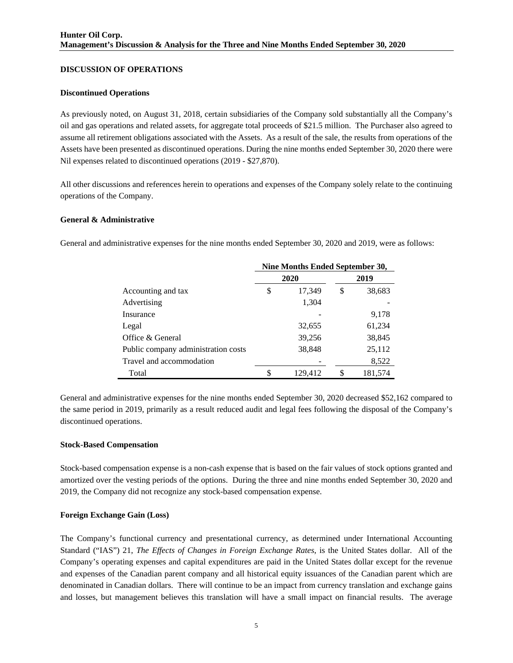### **DISCUSSION OF OPERATIONS**

#### **Discontinued Operations**

As previously noted, on August 31, 2018, certain subsidiaries of the Company sold substantially all the Company's oil and gas operations and related assets, for aggregate total proceeds of \$21.5 million. The Purchaser also agreed to assume all retirement obligations associated with the Assets. As a result of the sale, the results from operations of the Assets have been presented as discontinued operations. During the nine months ended September 30, 2020 there were Nil expenses related to discontinued operations (2019 - \$27,870).

All other discussions and references herein to operations and expenses of the Company solely relate to the continuing operations of the Company.

#### **General & Administrative**

General and administrative expenses for the nine months ended September 30, 2020 and 2019, were as follows:

|                                     | Nine Months Ended September 30, |         |    |         |  |  |  |  |
|-------------------------------------|---------------------------------|---------|----|---------|--|--|--|--|
|                                     |                                 | 2020    |    | 2019    |  |  |  |  |
| Accounting and tax                  | \$                              | 17,349  | \$ | 38,683  |  |  |  |  |
| Advertising                         |                                 | 1,304   |    |         |  |  |  |  |
| Insurance                           |                                 |         |    | 9,178   |  |  |  |  |
| Legal                               |                                 | 32,655  |    | 61,234  |  |  |  |  |
| Office & General                    |                                 | 39,256  |    | 38,845  |  |  |  |  |
| Public company administration costs |                                 | 38,848  |    | 25,112  |  |  |  |  |
| Travel and accommodation            |                                 |         |    | 8,522   |  |  |  |  |
| Total                               |                                 | 129.412 | \$ | 181,574 |  |  |  |  |

General and administrative expenses for the nine months ended September 30, 2020 decreased \$52,162 compared to the same period in 2019, primarily as a result reduced audit and legal fees following the disposal of the Company's discontinued operations.

#### **Stock-Based Compensation**

Stock-based compensation expense is a non-cash expense that is based on the fair values of stock options granted and amortized over the vesting periods of the options. During the three and nine months ended September 30, 2020 and 2019, the Company did not recognize any stock-based compensation expense.

### **Foreign Exchange Gain (Loss)**

The Company's functional currency and presentational currency, as determined under International Accounting Standard ("IAS") 21, *The Effects of Changes in Foreign Exchange Rates*, is the United States dollar. All of the Company's operating expenses and capital expenditures are paid in the United States dollar except for the revenue and expenses of the Canadian parent company and all historical equity issuances of the Canadian parent which are denominated in Canadian dollars. There will continue to be an impact from currency translation and exchange gains and losses, but management believes this translation will have a small impact on financial results. The average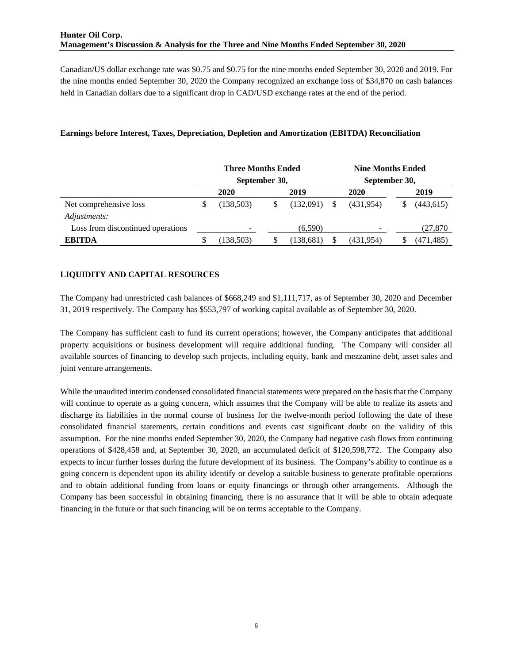Canadian/US dollar exchange rate was \$0.75 and \$0.75 for the nine months ended September 30, 2020 and 2019. For the nine months ended September 30, 2020 the Company recognized an exchange loss of \$34,870 on cash balances held in Canadian dollars due to a significant drop in CAD/USD exchange rates at the end of the period.

### **Earnings before Interest, Taxes, Depreciation, Depletion and Amortization (EBITDA) Reconciliation**

|                                   | <b>Three Months Ended</b><br>September 30, |            |  |  |            | <b>Nine Months Ended</b><br>September 30, |           |  |            |
|-----------------------------------|--------------------------------------------|------------|--|--|------------|-------------------------------------------|-----------|--|------------|
|                                   |                                            | 2020       |  |  | 2019       |                                           | 2020      |  | 2019       |
| Net comprehensive loss            |                                            | (138,503)  |  |  | (132,091)  | \$.                                       | (431,954) |  | (443, 615) |
| Adjustments:                      |                                            |            |  |  |            |                                           |           |  |            |
| Loss from discontinued operations |                                            |            |  |  | (6,590)    |                                           |           |  | (27,870    |
| <b>EBITDA</b>                     |                                            | (138, 503) |  |  | (138, 681) | \$                                        | (431,954) |  | (471,485)  |

# **LIQUIDITY AND CAPITAL RESOURCES**

The Company had unrestricted cash balances of \$668,249 and \$1,111,717, as of September 30, 2020 and December 31, 2019 respectively. The Company has \$553,797 of working capital available as of September 30, 2020.

The Company has sufficient cash to fund its current operations; however, the Company anticipates that additional property acquisitions or business development will require additional funding. The Company will consider all available sources of financing to develop such projects, including equity, bank and mezzanine debt, asset sales and joint venture arrangements.

While the unaudited interim condensed consolidated financial statements were prepared on the basis that the Company will continue to operate as a going concern, which assumes that the Company will be able to realize its assets and discharge its liabilities in the normal course of business for the twelve-month period following the date of these consolidated financial statements, certain conditions and events cast significant doubt on the validity of this assumption. For the nine months ended September 30, 2020, the Company had negative cash flows from continuing operations of \$428,458 and, at September 30, 2020, an accumulated deficit of \$120,598,772. The Company also expects to incur further losses during the future development of its business. The Company's ability to continue as a going concern is dependent upon its ability identify or develop a suitable business to generate profitable operations and to obtain additional funding from loans or equity financings or through other arrangements. Although the Company has been successful in obtaining financing, there is no assurance that it will be able to obtain adequate financing in the future or that such financing will be on terms acceptable to the Company.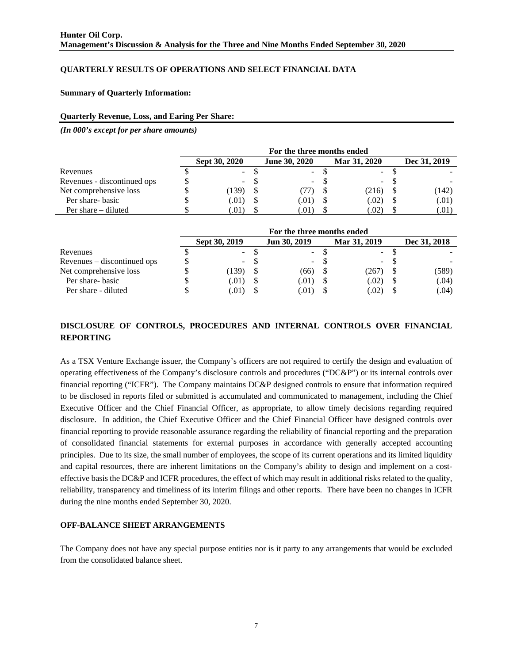### **QUARTERLY RESULTS OF OPERATIONS AND SELECT FINANCIAL DATA**

**Summary of Quarterly Information:** 

#### **Quarterly Revenue, Loss, and Earing Per Share:**

*(In 000's except for per share amounts)* 

|                             | For the three months ended |               |  |                      |  |              |              |       |  |
|-----------------------------|----------------------------|---------------|--|----------------------|--|--------------|--------------|-------|--|
|                             |                            | Sept 30, 2020 |  | <b>June 30, 2020</b> |  | Mar 31, 2020 | Dec 31, 2019 |       |  |
| Revenues                    |                            | $\sim$        |  | ۰.                   |  | $\sim$       |              |       |  |
| Revenues - discontinued ops |                            | $\sim$        |  | ۰.                   |  | $\sim$       |              |       |  |
| Net comprehensive loss      |                            | (139)         |  |                      |  | (216)        |              | (142) |  |
| Per share-basic             |                            | (.01)         |  | (.01)                |  | (.02)        |              | (.01) |  |
| Per share – diluted         |                            | .01)          |  | (.01)                |  | .02)         |              | (.01) |  |

|                             | For the three months ended |               |     |              |  |                  |  |              |  |  |
|-----------------------------|----------------------------|---------------|-----|--------------|--|------------------|--|--------------|--|--|
|                             |                            | Sept 30, 2019 |     | Jun 30, 2019 |  | Mar 31, 2019     |  | Dec 31, 2018 |  |  |
| Revenues                    |                            |               | - ა | $\sim$       |  | $\sim$ 100 $\mu$ |  |              |  |  |
| Revenues – discontinued ops |                            | $\sim$        |     | $\sim$       |  | $\sim$           |  |              |  |  |
| Net comprehensive loss      |                            | 139)          |     | (66)         |  | 267)             |  | (589)        |  |  |
| Per share-basic             |                            | (0.01)        |     | (.01)        |  | (.02)            |  | (.04)        |  |  |
| Per share - diluted         |                            | .01)          |     | (01)         |  | .02)             |  | (.04)        |  |  |

# **DISCLOSURE OF CONTROLS, PROCEDURES AND INTERNAL CONTROLS OVER FINANCIAL REPORTING**

As a TSX Venture Exchange issuer, the Company's officers are not required to certify the design and evaluation of operating effectiveness of the Company's disclosure controls and procedures ("DC&P") or its internal controls over financial reporting ("ICFR"). The Company maintains DC&P designed controls to ensure that information required to be disclosed in reports filed or submitted is accumulated and communicated to management, including the Chief Executive Officer and the Chief Financial Officer, as appropriate, to allow timely decisions regarding required disclosure. In addition, the Chief Executive Officer and the Chief Financial Officer have designed controls over financial reporting to provide reasonable assurance regarding the reliability of financial reporting and the preparation of consolidated financial statements for external purposes in accordance with generally accepted accounting principles. Due to its size, the small number of employees, the scope of its current operations and its limited liquidity and capital resources, there are inherent limitations on the Company's ability to design and implement on a costeffective basis the DC&P and ICFR procedures, the effect of which may result in additional risks related to the quality, reliability, transparency and timeliness of its interim filings and other reports. There have been no changes in ICFR during the nine months ended September 30, 2020.

### **OFF-BALANCE SHEET ARRANGEMENTS**

The Company does not have any special purpose entities nor is it party to any arrangements that would be excluded from the consolidated balance sheet.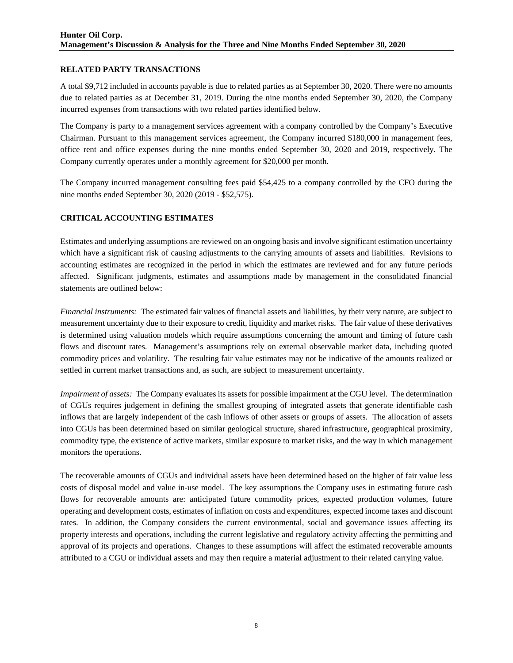### **RELATED PARTY TRANSACTIONS**

A total \$9,712 included in accounts payable is due to related parties as at September 30, 2020. There were no amounts due to related parties as at December 31, 2019. During the nine months ended September 30, 2020, the Company incurred expenses from transactions with two related parties identified below.

The Company is party to a management services agreement with a company controlled by the Company's Executive Chairman. Pursuant to this management services agreement, the Company incurred \$180,000 in management fees, office rent and office expenses during the nine months ended September 30, 2020 and 2019, respectively. The Company currently operates under a monthly agreement for \$20,000 per month.

The Company incurred management consulting fees paid \$54,425 to a company controlled by the CFO during the nine months ended September 30, 2020 (2019 - \$52,575).

# **CRITICAL ACCOUNTING ESTIMATES**

Estimates and underlying assumptions are reviewed on an ongoing basis and involve significant estimation uncertainty which have a significant risk of causing adjustments to the carrying amounts of assets and liabilities. Revisions to accounting estimates are recognized in the period in which the estimates are reviewed and for any future periods affected. Significant judgments, estimates and assumptions made by management in the consolidated financial statements are outlined below:

*Financial instruments:* The estimated fair values of financial assets and liabilities, by their very nature, are subject to measurement uncertainty due to their exposure to credit, liquidity and market risks. The fair value of these derivatives is determined using valuation models which require assumptions concerning the amount and timing of future cash flows and discount rates. Management's assumptions rely on external observable market data, including quoted commodity prices and volatility. The resulting fair value estimates may not be indicative of the amounts realized or settled in current market transactions and, as such, are subject to measurement uncertainty.

*Impairment of assets:* The Company evaluates its assets for possible impairment at the CGU level. The determination of CGUs requires judgement in defining the smallest grouping of integrated assets that generate identifiable cash inflows that are largely independent of the cash inflows of other assets or groups of assets. The allocation of assets into CGUs has been determined based on similar geological structure, shared infrastructure, geographical proximity, commodity type, the existence of active markets, similar exposure to market risks, and the way in which management monitors the operations.

The recoverable amounts of CGUs and individual assets have been determined based on the higher of fair value less costs of disposal model and value in-use model. The key assumptions the Company uses in estimating future cash flows for recoverable amounts are: anticipated future commodity prices, expected production volumes, future operating and development costs, estimates of inflation on costs and expenditures, expected income taxes and discount rates. In addition, the Company considers the current environmental, social and governance issues affecting its property interests and operations, including the current legislative and regulatory activity affecting the permitting and approval of its projects and operations. Changes to these assumptions will affect the estimated recoverable amounts attributed to a CGU or individual assets and may then require a material adjustment to their related carrying value.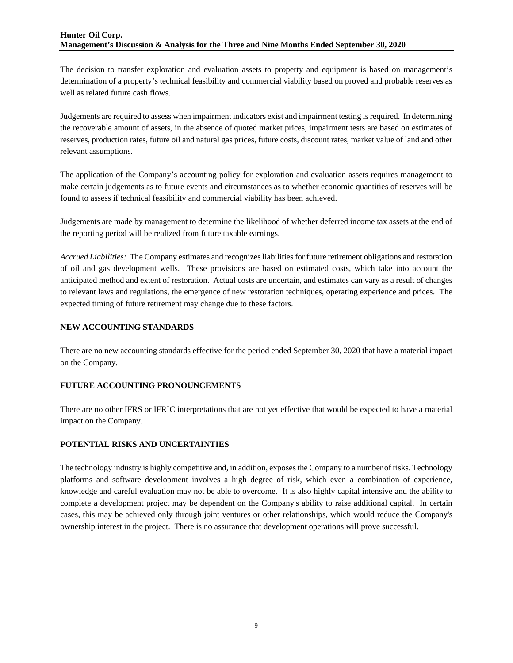The decision to transfer exploration and evaluation assets to property and equipment is based on management's determination of a property's technical feasibility and commercial viability based on proved and probable reserves as well as related future cash flows.

Judgements are required to assess when impairment indicators exist and impairment testing is required. In determining the recoverable amount of assets, in the absence of quoted market prices, impairment tests are based on estimates of reserves, production rates, future oil and natural gas prices, future costs, discount rates, market value of land and other relevant assumptions.

The application of the Company's accounting policy for exploration and evaluation assets requires management to make certain judgements as to future events and circumstances as to whether economic quantities of reserves will be found to assess if technical feasibility and commercial viability has been achieved.

Judgements are made by management to determine the likelihood of whether deferred income tax assets at the end of the reporting period will be realized from future taxable earnings.

*Accrued Liabilities:* The Company estimates and recognizes liabilities for future retirement obligations and restoration of oil and gas development wells. These provisions are based on estimated costs, which take into account the anticipated method and extent of restoration. Actual costs are uncertain, and estimates can vary as a result of changes to relevant laws and regulations, the emergence of new restoration techniques, operating experience and prices. The expected timing of future retirement may change due to these factors.

### **NEW ACCOUNTING STANDARDS**

There are no new accounting standards effective for the period ended September 30, 2020 that have a material impact on the Company.

### **FUTURE ACCOUNTING PRONOUNCEMENTS**

There are no other IFRS or IFRIC interpretations that are not yet effective that would be expected to have a material impact on the Company.

# **POTENTIAL RISKS AND UNCERTAINTIES**

The technology industry is highly competitive and, in addition, exposes the Company to a number of risks. Technology platforms and software development involves a high degree of risk, which even a combination of experience, knowledge and careful evaluation may not be able to overcome. It is also highly capital intensive and the ability to complete a development project may be dependent on the Company's ability to raise additional capital. In certain cases, this may be achieved only through joint ventures or other relationships, which would reduce the Company's ownership interest in the project. There is no assurance that development operations will prove successful.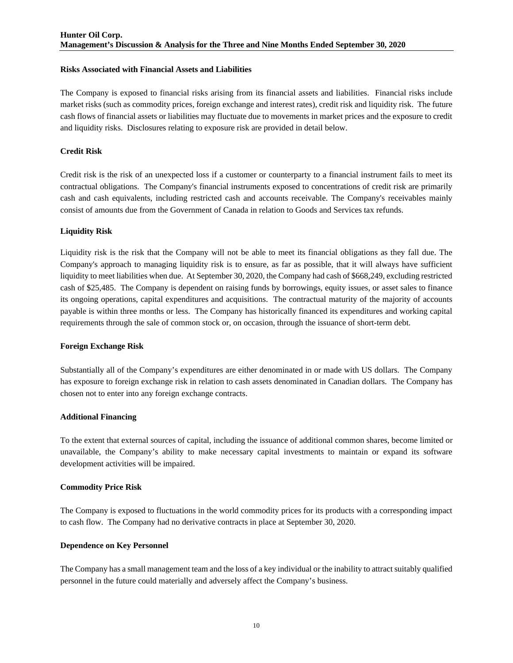### **Risks Associated with Financial Assets and Liabilities**

The Company is exposed to financial risks arising from its financial assets and liabilities. Financial risks include market risks (such as commodity prices, foreign exchange and interest rates), credit risk and liquidity risk. The future cash flows of financial assets or liabilities may fluctuate due to movements in market prices and the exposure to credit and liquidity risks. Disclosures relating to exposure risk are provided in detail below.

### **Credit Risk**

Credit risk is the risk of an unexpected loss if a customer or counterparty to a financial instrument fails to meet its contractual obligations. The Company's financial instruments exposed to concentrations of credit risk are primarily cash and cash equivalents, including restricted cash and accounts receivable. The Company's receivables mainly consist of amounts due from the Government of Canada in relation to Goods and Services tax refunds.

### **Liquidity Risk**

Liquidity risk is the risk that the Company will not be able to meet its financial obligations as they fall due. The Company's approach to managing liquidity risk is to ensure, as far as possible, that it will always have sufficient liquidity to meet liabilities when due. At September 30, 2020, the Company had cash of \$668,249, excluding restricted cash of \$25,485. The Company is dependent on raising funds by borrowings, equity issues, or asset sales to finance its ongoing operations, capital expenditures and acquisitions. The contractual maturity of the majority of accounts payable is within three months or less. The Company has historically financed its expenditures and working capital requirements through the sale of common stock or, on occasion, through the issuance of short-term debt.

### **Foreign Exchange Risk**

Substantially all of the Company's expenditures are either denominated in or made with US dollars. The Company has exposure to foreign exchange risk in relation to cash assets denominated in Canadian dollars. The Company has chosen not to enter into any foreign exchange contracts.

### **Additional Financing**

To the extent that external sources of capital, including the issuance of additional common shares, become limited or unavailable, the Company's ability to make necessary capital investments to maintain or expand its software development activities will be impaired.

### **Commodity Price Risk**

The Company is exposed to fluctuations in the world commodity prices for its products with a corresponding impact to cash flow. The Company had no derivative contracts in place at September 30, 2020.

### **Dependence on Key Personnel**

The Company has a small management team and the loss of a key individual or the inability to attract suitably qualified personnel in the future could materially and adversely affect the Company's business.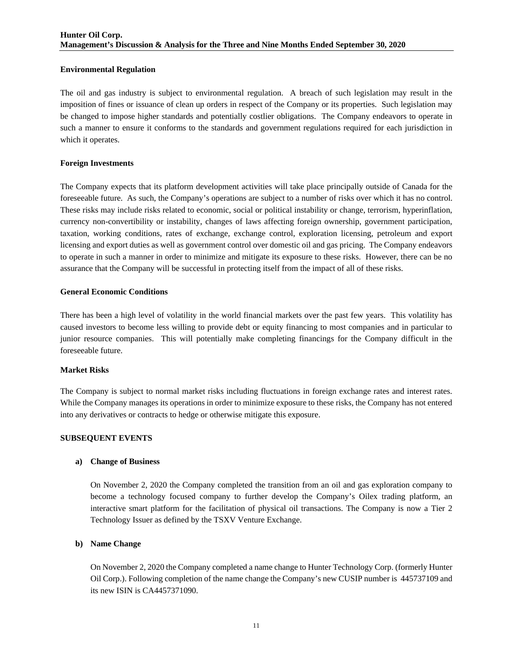### **Environmental Regulation**

The oil and gas industry is subject to environmental regulation. A breach of such legislation may result in the imposition of fines or issuance of clean up orders in respect of the Company or its properties. Such legislation may be changed to impose higher standards and potentially costlier obligations. The Company endeavors to operate in such a manner to ensure it conforms to the standards and government regulations required for each jurisdiction in which it operates.

### **Foreign Investments**

The Company expects that its platform development activities will take place principally outside of Canada for the foreseeable future. As such, the Company's operations are subject to a number of risks over which it has no control. These risks may include risks related to economic, social or political instability or change, terrorism, hyperinflation, currency non-convertibility or instability, changes of laws affecting foreign ownership, government participation, taxation, working conditions, rates of exchange, exchange control, exploration licensing, petroleum and export licensing and export duties as well as government control over domestic oil and gas pricing. The Company endeavors to operate in such a manner in order to minimize and mitigate its exposure to these risks. However, there can be no assurance that the Company will be successful in protecting itself from the impact of all of these risks.

### **General Economic Conditions**

There has been a high level of volatility in the world financial markets over the past few years. This volatility has caused investors to become less willing to provide debt or equity financing to most companies and in particular to junior resource companies. This will potentially make completing financings for the Company difficult in the foreseeable future.

### **Market Risks**

The Company is subject to normal market risks including fluctuations in foreign exchange rates and interest rates. While the Company manages its operations in order to minimize exposure to these risks, the Company has not entered into any derivatives or contracts to hedge or otherwise mitigate this exposure.

### **SUBSEQUENT EVENTS**

### **a) Change of Business**

On November 2, 2020 the Company completed the transition from an oil and gas exploration company to become a technology focused company to further develop the Company's Oilex trading platform, an interactive smart platform for the facilitation of physical oil transactions. The Company is now a Tier 2 Technology Issuer as defined by the TSXV Venture Exchange.

### **b) Name Change**

On November 2, 2020 the Company completed a name change to Hunter Technology Corp. (formerly Hunter Oil Corp.). Following completion of the name change the Company's new CUSIP number is 445737109 and its new ISIN is CA4457371090.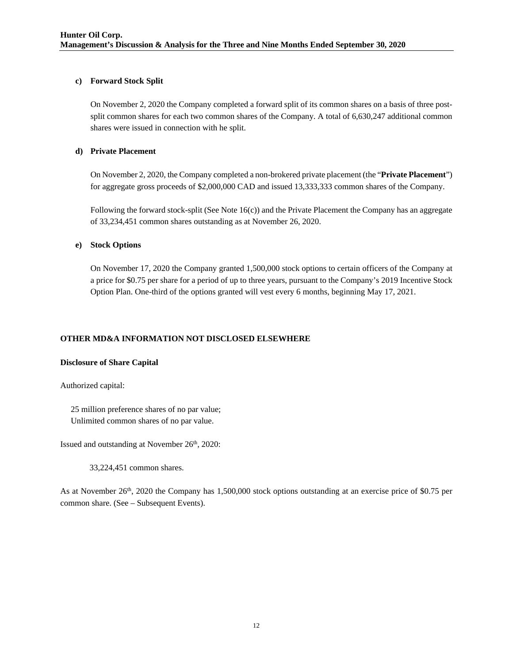### **c) Forward Stock Split**

On November 2, 2020 the Company completed a forward split of its common shares on a basis of three postsplit common shares for each two common shares of the Company. A total of 6,630,247 additional common shares were issued in connection with he split.

# **d) Private Placement**

On November 2, 2020, the Company completed a non-brokered private placement (the "**Private Placement**") for aggregate gross proceeds of \$2,000,000 CAD and issued 13,333,333 common shares of the Company.

Following the forward stock-split (See Note 16(c)) and the Private Placement the Company has an aggregate of 33,234,451 common shares outstanding as at November 26, 2020.

### **e) Stock Options**

On November 17, 2020 the Company granted 1,500,000 stock options to certain officers of the Company at a price for \$0.75 per share for a period of up to three years, pursuant to the Company's 2019 Incentive Stock Option Plan. One-third of the options granted will vest every 6 months, beginning May 17, 2021.

# **OTHER MD&A INFORMATION NOT DISCLOSED ELSEWHERE**

### **Disclosure of Share Capital**

Authorized capital:

 25 million preference shares of no par value; Unlimited common shares of no par value.

Issued and outstanding at November 26<sup>th</sup>, 2020:

33,224,451 common shares.

As at November  $26<sup>th</sup>$ , 2020 the Company has 1,500,000 stock options outstanding at an exercise price of \$0.75 per common share. (See – Subsequent Events).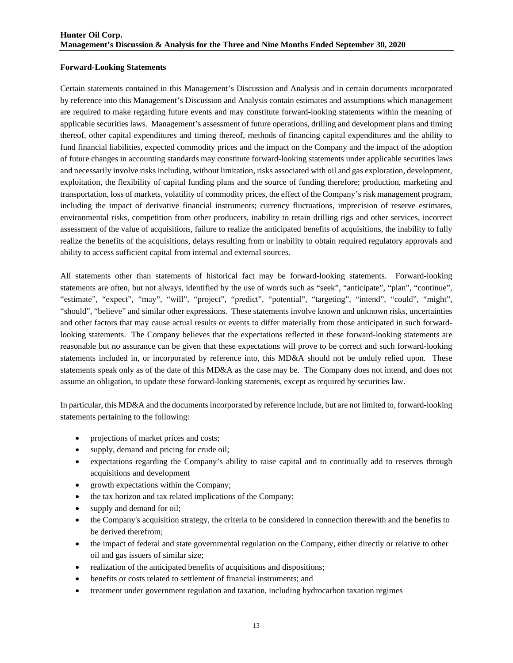#### **Forward-Looking Statements**

Certain statements contained in this Management's Discussion and Analysis and in certain documents incorporated by reference into this Management's Discussion and Analysis contain estimates and assumptions which management are required to make regarding future events and may constitute forward-looking statements within the meaning of applicable securities laws. Management's assessment of future operations, drilling and development plans and timing thereof, other capital expenditures and timing thereof, methods of financing capital expenditures and the ability to fund financial liabilities, expected commodity prices and the impact on the Company and the impact of the adoption of future changes in accounting standards may constitute forward-looking statements under applicable securities laws and necessarily involve risks including, without limitation, risks associated with oil and gas exploration, development, exploitation, the flexibility of capital funding plans and the source of funding therefore; production, marketing and transportation, loss of markets, volatility of commodity prices, the effect of the Company's risk management program, including the impact of derivative financial instruments; currency fluctuations, imprecision of reserve estimates, environmental risks, competition from other producers, inability to retain drilling rigs and other services, incorrect assessment of the value of acquisitions, failure to realize the anticipated benefits of acquisitions, the inability to fully realize the benefits of the acquisitions, delays resulting from or inability to obtain required regulatory approvals and ability to access sufficient capital from internal and external sources.

All statements other than statements of historical fact may be forward-looking statements. Forward-looking statements are often, but not always, identified by the use of words such as "seek", "anticipate", "plan", "continue", "estimate", "expect", "may", "will", "project", "predict", "potential", "targeting", "intend", "could", "might", "should", "believe" and similar other expressions. These statements involve known and unknown risks, uncertainties and other factors that may cause actual results or events to differ materially from those anticipated in such forwardlooking statements. The Company believes that the expectations reflected in these forward-looking statements are reasonable but no assurance can be given that these expectations will prove to be correct and such forward-looking statements included in, or incorporated by reference into, this MD&A should not be unduly relied upon. These statements speak only as of the date of this MD&A as the case may be. The Company does not intend, and does not assume an obligation, to update these forward-looking statements, except as required by securities law.

In particular, this MD&A and the documents incorporated by reference include, but are not limited to, forward-looking statements pertaining to the following:

- projections of market prices and costs;
- supply, demand and pricing for crude oil;
- expectations regarding the Company's ability to raise capital and to continually add to reserves through acquisitions and development
- growth expectations within the Company;
- the tax horizon and tax related implications of the Company;
- supply and demand for oil;
- the Company's acquisition strategy, the criteria to be considered in connection therewith and the benefits to be derived therefrom;
- the impact of federal and state governmental regulation on the Company, either directly or relative to other oil and gas issuers of similar size;
- realization of the anticipated benefits of acquisitions and dispositions;
- benefits or costs related to settlement of financial instruments; and
- treatment under government regulation and taxation, including hydrocarbon taxation regimes